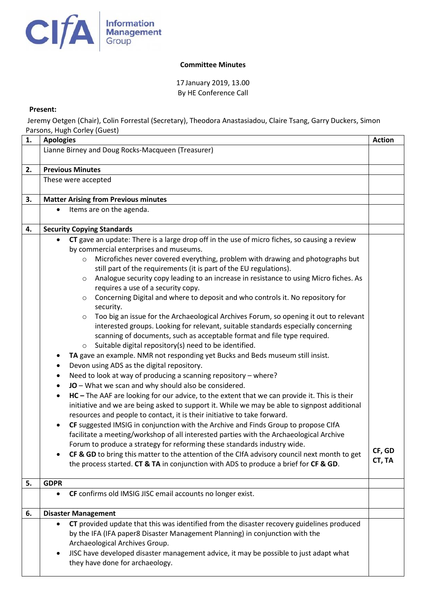

## **Committee Minutes**

17 January 2019, 13.00 By HE Conference Call

## **Present:**

Jeremy Oetgen (Chair), Colin Forrestal (Secretary), Theodora Anastasiadou, Claire Tsang, Garry Duckers, Simon Parsons, Hugh Corley (Guest)

| 1. | 10, 110011<br><b>Apologies</b>                                                                                                                                                                                                                                                                                                                                                                                                                                                                                                                                                                                                                                                                                                                                                                                                                                                                                                                                                                                                                                                                                                                                                                                                                                                                                                                                                                                                                                                                                                                                                                                                                                                                                                                                                                                                                                                                                                                      | <b>Action</b>    |
|----|-----------------------------------------------------------------------------------------------------------------------------------------------------------------------------------------------------------------------------------------------------------------------------------------------------------------------------------------------------------------------------------------------------------------------------------------------------------------------------------------------------------------------------------------------------------------------------------------------------------------------------------------------------------------------------------------------------------------------------------------------------------------------------------------------------------------------------------------------------------------------------------------------------------------------------------------------------------------------------------------------------------------------------------------------------------------------------------------------------------------------------------------------------------------------------------------------------------------------------------------------------------------------------------------------------------------------------------------------------------------------------------------------------------------------------------------------------------------------------------------------------------------------------------------------------------------------------------------------------------------------------------------------------------------------------------------------------------------------------------------------------------------------------------------------------------------------------------------------------------------------------------------------------------------------------------------------------|------------------|
|    | Lianne Birney and Doug Rocks-Macqueen (Treasurer)                                                                                                                                                                                                                                                                                                                                                                                                                                                                                                                                                                                                                                                                                                                                                                                                                                                                                                                                                                                                                                                                                                                                                                                                                                                                                                                                                                                                                                                                                                                                                                                                                                                                                                                                                                                                                                                                                                   |                  |
| 2. | <b>Previous Minutes</b>                                                                                                                                                                                                                                                                                                                                                                                                                                                                                                                                                                                                                                                                                                                                                                                                                                                                                                                                                                                                                                                                                                                                                                                                                                                                                                                                                                                                                                                                                                                                                                                                                                                                                                                                                                                                                                                                                                                             |                  |
|    | These were accepted                                                                                                                                                                                                                                                                                                                                                                                                                                                                                                                                                                                                                                                                                                                                                                                                                                                                                                                                                                                                                                                                                                                                                                                                                                                                                                                                                                                                                                                                                                                                                                                                                                                                                                                                                                                                                                                                                                                                 |                  |
| 3. | <b>Matter Arising from Previous minutes</b>                                                                                                                                                                                                                                                                                                                                                                                                                                                                                                                                                                                                                                                                                                                                                                                                                                                                                                                                                                                                                                                                                                                                                                                                                                                                                                                                                                                                                                                                                                                                                                                                                                                                                                                                                                                                                                                                                                         |                  |
|    | Items are on the agenda.<br>$\bullet$                                                                                                                                                                                                                                                                                                                                                                                                                                                                                                                                                                                                                                                                                                                                                                                                                                                                                                                                                                                                                                                                                                                                                                                                                                                                                                                                                                                                                                                                                                                                                                                                                                                                                                                                                                                                                                                                                                               |                  |
| 4. | <b>Security Copying Standards</b>                                                                                                                                                                                                                                                                                                                                                                                                                                                                                                                                                                                                                                                                                                                                                                                                                                                                                                                                                                                                                                                                                                                                                                                                                                                                                                                                                                                                                                                                                                                                                                                                                                                                                                                                                                                                                                                                                                                   |                  |
|    | CT gave an update: There is a large drop off in the use of micro fiches, so causing a review<br>by commercial enterprises and museums.<br>Microfiches never covered everything, problem with drawing and photographs but<br>$\circ$<br>still part of the requirements (it is part of the EU regulations).<br>Analogue security copy leading to an increase in resistance to using Micro fiches. As<br>$\circ$<br>requires a use of a security copy.<br>Concerning Digital and where to deposit and who controls it. No repository for<br>$\circ$<br>security.<br>Too big an issue for the Archaeological Archives Forum, so opening it out to relevant<br>$\circ$<br>interested groups. Looking for relevant, suitable standards especially concerning<br>scanning of documents, such as acceptable format and file type required.<br>Suitable digital repository(s) need to be identified.<br>$\circ$<br>TA gave an example. NMR not responding yet Bucks and Beds museum still insist.<br>Devon using ADS as the digital repository.<br>٠<br>Need to look at way of producing a scanning repository - where?<br>٠<br>JO - What we scan and why should also be considered.<br>$\bullet$<br>HC - The AAF are looking for our advice, to the extent that we can provide it. This is their<br>$\bullet$<br>initiative and we are being asked to support it. While we may be able to signpost additional<br>resources and people to contact, it is their initiative to take forward.<br>CF suggested IMSIG in conjunction with the Archive and Finds Group to propose CIfA<br>$\bullet$<br>facilitate a meeting/workshop of all interested parties with the Archaeological Archive<br>Forum to produce a strategy for reforming these standards industry wide.<br>CF & GD to bring this matter to the attention of the CIfA advisory council next month to get<br>the process started. CT & TA in conjunction with ADS to produce a brief for CF & GD. | CF, GD<br>CT, TA |
| 5. | <b>GDPR</b>                                                                                                                                                                                                                                                                                                                                                                                                                                                                                                                                                                                                                                                                                                                                                                                                                                                                                                                                                                                                                                                                                                                                                                                                                                                                                                                                                                                                                                                                                                                                                                                                                                                                                                                                                                                                                                                                                                                                         |                  |
|    | CF confirms old IMSIG JISC email accounts no longer exist.<br>$\bullet$                                                                                                                                                                                                                                                                                                                                                                                                                                                                                                                                                                                                                                                                                                                                                                                                                                                                                                                                                                                                                                                                                                                                                                                                                                                                                                                                                                                                                                                                                                                                                                                                                                                                                                                                                                                                                                                                             |                  |
| 6. | <b>Disaster Management</b>                                                                                                                                                                                                                                                                                                                                                                                                                                                                                                                                                                                                                                                                                                                                                                                                                                                                                                                                                                                                                                                                                                                                                                                                                                                                                                                                                                                                                                                                                                                                                                                                                                                                                                                                                                                                                                                                                                                          |                  |
|    | CT provided update that this was identified from the disaster recovery guidelines produced<br>٠<br>by the IFA (IFA paper8 Disaster Management Planning) in conjunction with the<br>Archaeological Archives Group.<br>JISC have developed disaster management advice, it may be possible to just adapt what<br>٠<br>they have done for archaeology.                                                                                                                                                                                                                                                                                                                                                                                                                                                                                                                                                                                                                                                                                                                                                                                                                                                                                                                                                                                                                                                                                                                                                                                                                                                                                                                                                                                                                                                                                                                                                                                                  |                  |